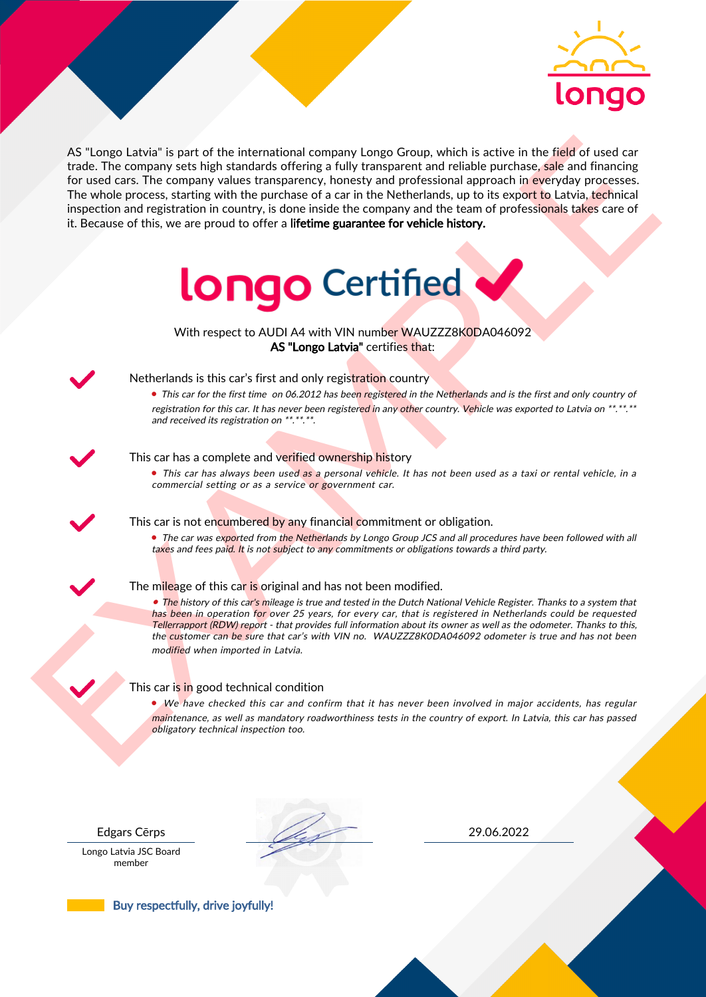

As the nearest the intermediate company length Control with such the field of used car<br>for the field of used car<br>for the company subset intermediate company in the Netherlands, up to its experiment<br>of the company subset i AS "Longo Latvia" is part of the international company Longo Group, which is active in the field of used car trade. The company sets high standards offering a fully transparent and reliable purchase, sale and financing for used cars. The company values transparency, honesty and professional approach in everyday processes. The whole process, starting with the purchase of a car in the Netherlands, up to its export to Latvia, technical inspection and registration in country, is done inside the company and the team of professionals takes care of it. Because of this, we are proud to offer a lifetime guarantee for vehicle history.



With respect to AUDI A4 with VIN number WAUZZZ8K0DA046092 AS "Longo Latvia" certifies that:



## Netherlands is this car's first and only registration country

• This car for the first time on 06.2012 has been registered in the Netherlands and is the first and only country of registration for this car. It has never been registered in any other country. Vehicle was exported to Latvia on \*\*.\*\*.\*\* and received its registration on \*\*.\*\*.\*\*.

### This car has a complete and verified ownership history

• This car has always been used as a personal vehicle. It has not been used as a taxi or rental vehicle, in a commercial setting or as a service or government car.

This car is not encumbered by any financial commitment or obligation.

• The car was exported from the Netherlands by Longo Group JCS and all procedures have been followed with all taxes and fees paid. It is not subject to any commitments or obligations towards a third party.

### The mileage of this car is original and has not been modified.

• The history of this car's mileage is true and tested in the Dutch National Vehicle Register. Thanks to a system that has been in operation for over 25 years, for every car, that is registered in Netherlands could be requested Tellerrapport (RDW) report - that provides full information about its owner as well as the odometer. Thanks to this, the customer can be sure that car's with VIN no. WAUZZZ8K0DA046092 odometer is true and has not been modified when imported in Latvia.

### This car is in good technical condition

• We have checked this car and confirm that it has never been involved in major accidents, has regular maintenance, as well as mandatory roadworthiness tests in the country of export. In Latvia, this car has passed obligatory technical inspection too.

Longo Latvia JSC Board member

Edgars Cērps 29.06.2022

Buy respectfully, drive joyfully!